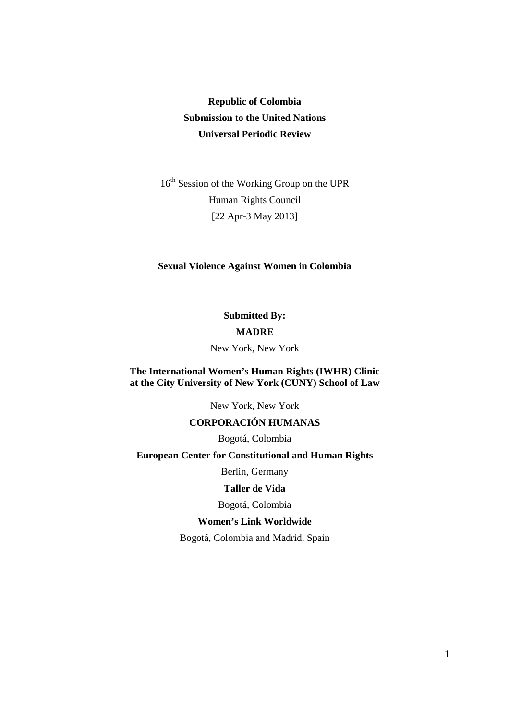# **Republic of Colombia Submission to the United Nations Universal Periodic Review**

16<sup>th</sup> Session of the Working Group on the UPR Human Rights Council [22 Apr-3 May 2013]

#### **Sexual Violence Against Women in Colombia**

**Submitted By: MADRE**  New York, New York

### **The International Women's Human Rights (IWHR) Clinic at the City University of New York (CUNY) School of Law**

New York, New York

# **CORPORACIÓN HUMANAS**

Bogotá, Colombia

# **European Center for Constitutional and Human Rights**

Berlin, Germany

#### **Taller de Vida**

Bogotá, Colombia

#### **Women's Link Worldwide**

Bogotá, Colombia and Madrid, Spain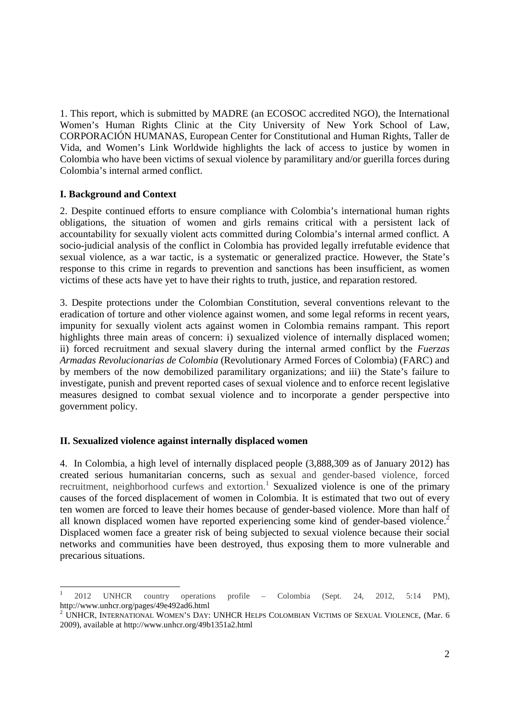1. This report, which is submitted by MADRE (an ECOSOC accredited NGO), the International Women's Human Rights Clinic at the City University of New York School of Law, CORPORACIÓN HUMANAS, European Center for Constitutional and Human Rights, Taller de Vida, and Women's Link Worldwide highlights the lack of access to justice by women in Colombia who have been victims of sexual violence by paramilitary and/or guerilla forces during Colombia's internal armed conflict.

### **I. Background and Context**

 $\overline{a}$ 

2. Despite continued efforts to ensure compliance with Colombia's international human rights obligations, the situation of women and girls remains critical with a persistent lack of accountability for sexually violent acts committed during Colombia's internal armed conflict. A socio-judicial analysis of the conflict in Colombia has provided legally irrefutable evidence that sexual violence, as a war tactic, is a systematic or generalized practice. However, the State's response to this crime in regards to prevention and sanctions has been insufficient, as women victims of these acts have yet to have their rights to truth, justice, and reparation restored.

3. Despite protections under the Colombian Constitution, several conventions relevant to the eradication of torture and other violence against women, and some legal reforms in recent years, impunity for sexually violent acts against women in Colombia remains rampant. This report highlights three main areas of concern: i) sexualized violence of internally displaced women; ii) forced recruitment and sexual slavery during the internal armed conflict by the *Fuerzas Armadas Revolucionarias de Colombia* (Revolutionary Armed Forces of Colombia) (FARC) and by members of the now demobilized paramilitary organizations; and iii) the State's failure to investigate, punish and prevent reported cases of sexual violence and to enforce recent legislative measures designed to combat sexual violence and to incorporate a gender perspective into government policy.

# **II. Sexualized violence against internally displaced women**

4. In Colombia, a high level of internally displaced people (3,888,309 as of January 2012) has created serious humanitarian concerns, such as sexual and gender-based violence, forced recruitment, neighborhood curfews and extortion.<sup>1</sup> Sexualized violence is one of the primary causes of the forced displacement of women in Colombia. It is estimated that two out of every ten women are forced to leave their homes because of gender-based violence. More than half of all known displaced women have reported experiencing some kind of gender-based violence.<sup>2</sup> Displaced women face a greater risk of being subjected to sexual violence because their social networks and communities have been destroyed, thus exposing them to more vulnerable and precarious situations.

<sup>1</sup> 2012 UNHCR country operations profile – Colombia (Sept. 24, 2012, 5:14 PM), http://www.unhcr.org/pages/49e492ad6.html

<sup>&</sup>lt;sup>2</sup> UNHCR, INTERNATIONAL WOMEN'S DAY: UNHCR HELPS COLOMBIAN VICTIMS OF SEXUAL VIOLENCE, (Mar. 6 2009), available at http://www.unhcr.org/49b1351a2.html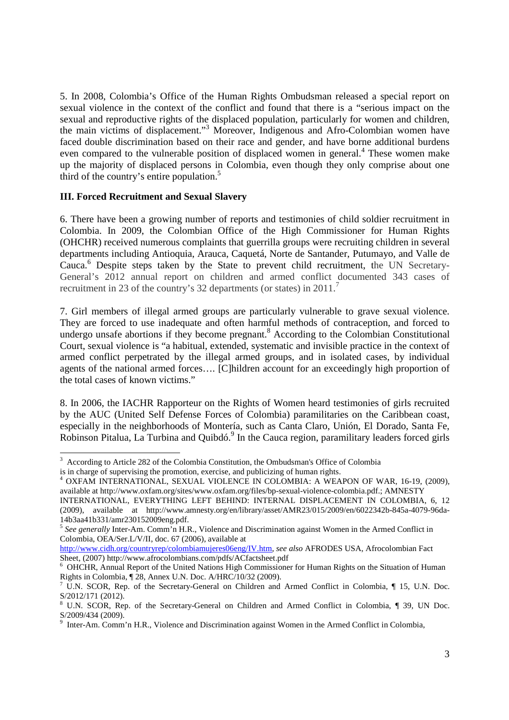5. In 2008, Colombia's Office of the Human Rights Ombudsman released a special report on sexual violence in the context of the conflict and found that there is a "serious impact on the sexual and reproductive rights of the displaced population, particularly for women and children, the main victims of displacement."<sup>3</sup> Moreover, Indigenous and Afro-Colombian women have faced double discrimination based on their race and gender, and have borne additional burdens even compared to the vulnerable position of displaced women in general.<sup>4</sup> These women make up the majority of displaced persons in Colombia, even though they only comprise about one third of the country's entire population.<sup>5</sup>

### **III. Forced Recruitment and Sexual Slavery**

 $\overline{a}$ 

6. There have been a growing number of reports and testimonies of child soldier recruitment in Colombia. In 2009, the Colombian Office of the High Commissioner for Human Rights (OHCHR) received numerous complaints that guerrilla groups were recruiting children in several departments including Antioquia, Arauca, Caquetá, Norte de Santander, Putumayo, and Valle de Cauca.<sup>6</sup> Despite steps taken by the State to prevent child recruitment, the UN Secretary-General's 2012 annual report on children and armed conflict documented 343 cases of recruitment in 23 of the country's 32 departments (or states) in 2011.<sup>7</sup>

7. Girl members of illegal armed groups are particularly vulnerable to grave sexual violence. They are forced to use inadequate and often harmful methods of contraception, and forced to undergo unsafe abortions if they become pregnant.<sup>8</sup> According to the Colombian Constitutional Court, sexual violence is "a habitual, extended, systematic and invisible practice in the context of armed conflict perpetrated by the illegal armed groups, and in isolated cases, by individual agents of the national armed forces…. [C]hildren account for an exceedingly high proportion of the total cases of known victims."

8. In 2006, the IACHR Rapporteur on the Rights of Women heard testimonies of girls recruited by the AUC (United Self Defense Forces of Colombia) paramilitaries on the Caribbean coast, especially in the neighborhoods of Montería, such as Canta Claro, Unión, El Dorado, Santa Fe, Robinson Pitalua, La Turbina and Quibdó.<sup>9</sup> In the Cauca region, paramilitary leaders forced girls

http://www.cidh.org/countryrep/colombiamujeres06eng/IV.htm, *see also* AFRODES USA, Afrocolombian Fact Sheet, (2007) http://www.afrocolombians.com/pdfs/ACfactsheet.pdf

<sup>&</sup>lt;sup>3</sup> According to Article 282 of the Colombia Constitution, the Ombudsman's Office of Colombia is in charge of supervising the promotion, exercise, and publicizing of human rights.

<sup>4</sup> OXFAM INTERNATIONAL, SEXUAL VIOLENCE IN COLOMBIA: A WEAPON OF WAR, 16-19, (2009), available at http://www.oxfam.org/sites/www.oxfam.org/files/bp-sexual-violence-colombia.pdf.; AMNESTY

INTERNATIONAL, EVERYTHING LEFT BEHIND: INTERNAL DISPLACEMENT IN COLOMBIA, 6, 12 (2009), available at http://www.amnesty.org/en/library/asset/AMR23/015/2009/en/6022342b-845a-4079-96da-14b3aa41b331/amr230152009eng.pdf.

<sup>&</sup>lt;sup>5</sup> See generally Inter-Am. Comm'n H.R., Violence and Discrimination against Women in the Armed Conflict in Colombia, OEA/Ser.L/V/II, doc. 67 (2006), available at

<sup>&</sup>lt;sup>6</sup> OHCHR, Annual Report of the United Nations High Commissioner for Human Rights on the Situation of Human Rights in Colombia, ¶ 28, Annex U.N. Doc. A/HRC/10/32 (2009).

<sup>7</sup> U.N. SCOR, Rep. of the Secretary-General on Children and Armed Conflict in Colombia, ¶ 15, U.N. Doc. S/2012/171 (2012).

<sup>8</sup> U.N. SCOR, Rep. of the Secretary-General on Children and Armed Conflict in Colombia, ¶ 39, UN Doc. S/2009/434 (2009).

<sup>9</sup> Inter-Am. Comm'n H.R., Violence and Discrimination against Women in the Armed Conflict in Colombia,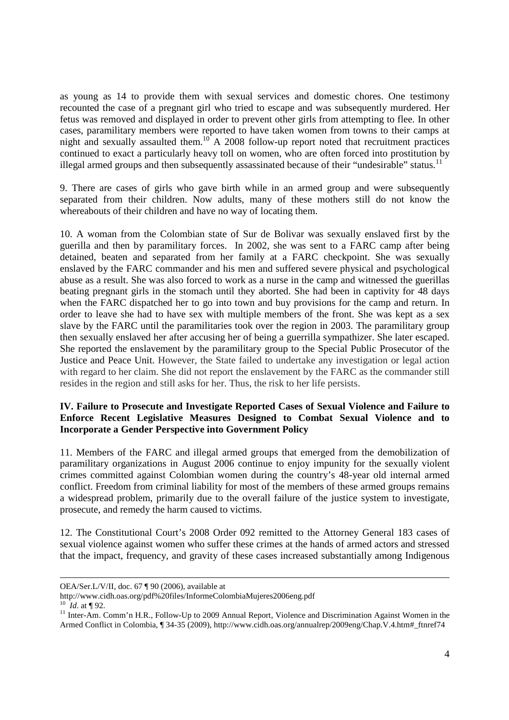as young as 14 to provide them with sexual services and domestic chores. One testimony recounted the case of a pregnant girl who tried to escape and was subsequently murdered. Her fetus was removed and displayed in order to prevent other girls from attempting to flee. In other cases, paramilitary members were reported to have taken women from towns to their camps at night and sexually assaulted them.<sup>10</sup> A 2008 follow-up report noted that recruitment practices continued to exact a particularly heavy toll on women, who are often forced into prostitution by illegal armed groups and then subsequently assassinated because of their "undesirable" status.<sup>1</sup>

9. There are cases of girls who gave birth while in an armed group and were subsequently separated from their children. Now adults, many of these mothers still do not know the whereabouts of their children and have no way of locating them.

10. A woman from the Colombian state of Sur de Bolivar was sexually enslaved first by the guerilla and then by paramilitary forces. In 2002, she was sent to a FARC camp after being detained, beaten and separated from her family at a FARC checkpoint. She was sexually enslaved by the FARC commander and his men and suffered severe physical and psychological abuse as a result. She was also forced to work as a nurse in the camp and witnessed the guerillas beating pregnant girls in the stomach until they aborted. She had been in captivity for 48 days when the FARC dispatched her to go into town and buy provisions for the camp and return. In order to leave she had to have sex with multiple members of the front. She was kept as a sex slave by the FARC until the paramilitaries took over the region in 2003. The paramilitary group then sexually enslaved her after accusing her of being a guerrilla sympathizer. She later escaped. She reported the enslavement by the paramilitary group to the Special Public Prosecutor of the Justice and Peace Unit. However, the State failed to undertake any investigation or legal action with regard to her claim. She did not report the enslavement by the FARC as the commander still resides in the region and still asks for her. Thus, the risk to her life persists.

# **IV. Failure to Prosecute and Investigate Reported Cases of Sexual Violence and Failure to Enforce Recent Legislative Measures Designed to Combat Sexual Violence and to Incorporate a Gender Perspective into Government Policy**

11. Members of the FARC and illegal armed groups that emerged from the demobilization of paramilitary organizations in August 2006 continue to enjoy impunity for the sexually violent crimes committed against Colombian women during the country's 48-year old internal armed conflict. Freedom from criminal liability for most of the members of these armed groups remains a widespread problem, primarily due to the overall failure of the justice system to investigate, prosecute, and remedy the harm caused to victims.

12. The Constitutional Court's 2008 Order 092 remitted to the Attorney General 183 cases of sexual violence against women who suffer these crimes at the hands of armed actors and stressed that the impact, frequency, and gravity of these cases increased substantially among Indigenous

OEA/Ser.L/V/II, doc. 67 ¶ 90 (2006), available at

http://www.cidh.oas.org/pdf%20files/InformeColombiaMujeres2006eng.pdf

 $^{10}$  *Id.* at ¶ 92.

<sup>&</sup>lt;sup>11</sup> Inter-Am. Comm'n H.R., Follow-Up to 2009 Annual Report, Violence and Discrimination Against Women in the Armed Conflict in Colombia, ¶ 34-35 (2009), http://www.cidh.oas.org/annualrep/2009eng/Chap.V.4.htm#\_ftnref74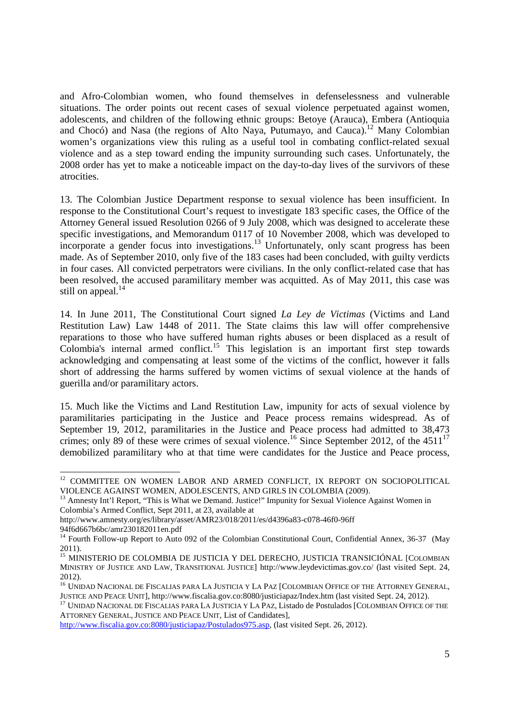and Afro-Colombian women, who found themselves in defenselessness and vulnerable situations. The order points out recent cases of sexual violence perpetuated against women, adolescents, and children of the following ethnic groups: Betoye (Arauca), Embera (Antioquia and Chocó) and Nasa (the regions of Alto Naya, Putumayo, and Cauca).<sup>12</sup> Many Colombian women's organizations view this ruling as a useful tool in combating conflict-related sexual violence and as a step toward ending the impunity surrounding such cases. Unfortunately, the 2008 order has yet to make a noticeable impact on the day-to-day lives of the survivors of these atrocities.

13. The Colombian Justice Department response to sexual violence has been insufficient. In response to the Constitutional Court's request to investigate 183 specific cases, the Office of the Attorney General issued Resolution 0266 of 9 July 2008, which was designed to accelerate these specific investigations, and Memorandum 0117 of 10 November 2008, which was developed to incorporate a gender focus into investigations.<sup>13</sup> Unfortunately, only scant progress has been made. As of September 2010, only five of the 183 cases had been concluded, with guilty verdicts in four cases. All convicted perpetrators were civilians. In the only conflict-related case that has been resolved, the accused paramilitary member was acquitted. As of May 2011, this case was still on appeal. $^{14}$ 

14. In June 2011, The Constitutional Court signed *La Ley de Victimas* (Victims and Land Restitution Law) Law 1448 of 2011. The State claims this law will offer comprehensive reparations to those who have suffered human rights abuses or been displaced as a result of  $C$ olombia's internal armed conflict.<sup>15</sup> This legislation is an important first step towards acknowledging and compensating at least some of the victims of the conflict, however it falls short of addressing the harms suffered by women victims of sexual violence at the hands of guerilla and/or paramilitary actors.

15. Much like the Victims and Land Restitution Law, impunity for acts of sexual violence by paramilitaries participating in the Justice and Peace process remains widespread. As of September 19, 2012, paramilitaries in the Justice and Peace process had admitted to 38,473 crimes; only 89 of these were crimes of sexual violence.<sup>16</sup> Since September 2012, of the  $4511^{17}$ demobilized paramilitary who at that time were candidates for the Justice and Peace process,

<sup>&</sup>lt;sup>12</sup> COMMITTEE ON WOMEN LABOR AND ARMED CONFLICT, IX REPORT ON SOCIOPOLITICAL VIOLENCE AGAINST WOMEN, ADOLESCENTS, AND GIRLS IN COLOMBIA (2009).

<sup>&</sup>lt;sup>13</sup> Amnesty Int'l Report, "This is What we Demand. Justice!" Impunity for Sexual Violence Against Women in Colombia's Armed Conflict, Sept 2011, at 23, available at

http://www.amnesty.org/es/library/asset/AMR23/018/2011/es/d4396a83-c078-46f0-96ff

<sup>94</sup>f6d667b6bc/amr230182011en.pdf

<sup>&</sup>lt;sup>14</sup> Fourth Follow-up Report to Auto 092 of the Colombian Constitutional Court, Confidential Annex, 36-37 (May 2011).

<sup>15</sup> MINISTERIO DE COLOMBIA DE JUSTICIA Y DEL DERECHO, JUSTICIA TRANSICIÓNAL [COLOMBIAN MINISTRY OF JUSTICE AND LAW, TRANSITIONAL JUSTICE] http://www.leydevictimas.gov.co/ (last visited Sept. 24, 2012).

<sup>&</sup>lt;sup>16</sup> UNIDAD NACIONAL DE FISCALIAS PARA LA JUSTICIA Y LA PAZ [COLOMBIAN OFFICE OF THE ATTORNEY GENERAL, JUSTICE AND PEACE UNIT], http://www.fiscalia.gov.co:8080/justiciapaz/Index.htm (last visited Sept. 24, 2012).

<sup>&</sup>lt;sup>17</sup> UNIDAD NACIONAL DE FISCALIAS PARA LA JUSTICIA Y LA PAZ, Listado de Postulados [COLOMBIAN OFFICE OF THE ATTORNEY GENERAL, JUSTICE AND PEACE UNIT, List of Candidates],

http://www.fiscalia.gov.co:8080/justiciapaz/Postulados975.asp, (last visited Sept. 26, 2012).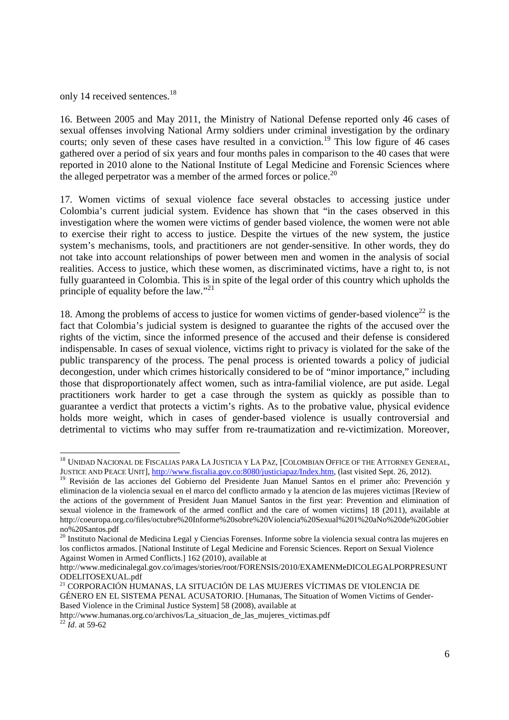only 14 received sentences.<sup>18</sup>

 $\overline{a}$ 

16. Between 2005 and May 2011, the Ministry of National Defense reported only 46 cases of sexual offenses involving National Army soldiers under criminal investigation by the ordinary courts; only seven of these cases have resulted in a conviction.<sup>19</sup> This low figure of 46 cases gathered over a period of six years and four months pales in comparison to the 40 cases that were reported in 2010 alone to the National Institute of Legal Medicine and Forensic Sciences where the alleged perpetrator was a member of the armed forces or police.<sup>20</sup>

17. Women victims of sexual violence face several obstacles to accessing justice under Colombia's current judicial system. Evidence has shown that "in the cases observed in this investigation where the women were victims of gender based violence, the women were not able to exercise their right to access to justice. Despite the virtues of the new system, the justice system's mechanisms, tools, and practitioners are not gender-sensitive. In other words, they do not take into account relationships of power between men and women in the analysis of social realities. Access to justice, which these women, as discriminated victims, have a right to, is not fully guaranteed in Colombia. This is in spite of the legal order of this country which upholds the principle of equality before the law."<sup>21</sup>

18. Among the problems of access to justice for women victims of gender-based violence<sup>22</sup> is the fact that Colombia's judicial system is designed to guarantee the rights of the accused over the rights of the victim, since the informed presence of the accused and their defense is considered indispensable. In cases of sexual violence, victims right to privacy is violated for the sake of the public transparency of the process. The penal process is oriented towards a policy of judicial decongestion, under which crimes historically considered to be of "minor importance," including those that disproportionately affect women, such as intra-familial violence, are put aside. Legal practitioners work harder to get a case through the system as quickly as possible than to guarantee a verdict that protects a victim's rights. As to the probative value, physical evidence holds more weight, which in cases of gender-based violence is usually controversial and detrimental to victims who may suffer from re-traumatization and re-victimization. Moreover,

<sup>18</sup> UNIDAD NACIONAL DE FISCALIAS PARA LA JUSTICIA Y LA PAZ, [COLOMBIAN OFFICE OF THE ATTORNEY GENERAL, JUSTICE AND PEACE UNIT], http://www.fiscalia.gov.co:8080/justiciapaz/Index.htm, (last visited Sept. 26, 2012).

<sup>&</sup>lt;sup>19</sup> Revisión de las acciones del Gobierno del Presidente Juan Manuel Santos en el primer año: Prevención y eliminacion de la violencia sexual en el marco del conflicto armado y la atencion de las mujeres victimas [Review of the actions of the government of President Juan Manuel Santos in the first year: Prevention and elimination of sexual violence in the framework of the armed conflict and the care of women victims] 18 (2011), available at http://coeuropa.org.co/files/octubre%20Informe%20sobre%20Violencia%20Sexual%201%20aNo%20de%20Gobier no%20Santos.pdf

<sup>20</sup> Instituto Nacional de Medicina Legal y Ciencias Forenses. Informe sobre la violencia sexual contra las mujeres en los conflictos armados. [National Institute of Legal Medicine and Forensic Sciences. Report on Sexual Violence Against Women in Armed Conflicts.] 162 (2010), available at

http://www.medicinalegal.gov.co/images/stories/root/FORENSIS/2010/EXAMENMeDICOLEGALPORPRESUNT ODELITOSEXUAL.pdf

<sup>&</sup>lt;sup>21</sup> CORPORACIÓN HUMANAS, LA SITUACIÓN DE LAS MUJERES VÍCTIMAS DE VIOLENCIA DE GÉNERO EN EL SISTEMA PENAL ACUSATORIO. [Humanas, The Situation of Women Victims of Gender-Based Violence in the Criminal Justice System] 58 (2008), available at

http://www.humanas.org.co/archivos/La\_situacion\_de\_las\_mujeres\_victimas.pdf  $^{22}$  *Id.* at 59-62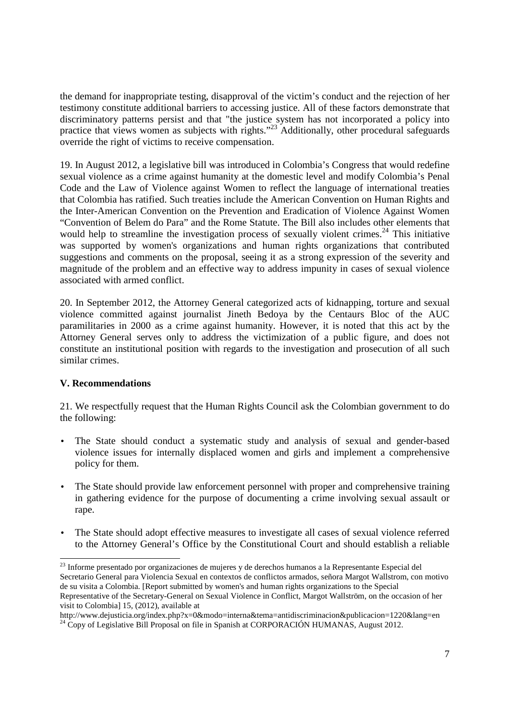the demand for inappropriate testing, disapproval of the victim's conduct and the rejection of her testimony constitute additional barriers to accessing justice. All of these factors demonstrate that discriminatory patterns persist and that "the justice system has not incorporated a policy into practice that views women as subjects with rights."<sup>23</sup> Additionally, other procedural safeguards override the right of victims to receive compensation.

19. In August 2012, a legislative bill was introduced in Colombia's Congress that would redefine sexual violence as a crime against humanity at the domestic level and modify Colombia's Penal Code and the Law of Violence against Women to reflect the language of international treaties that Colombia has ratified. Such treaties include the American Convention on Human Rights and the Inter-American Convention on the Prevention and Eradication of Violence Against Women "Convention of Belem do Para" and the Rome Statute. The Bill also includes other elements that would help to streamline the investigation process of sexually violent crimes.<sup>24</sup> This initiative was supported by women's organizations and human rights organizations that contributed suggestions and comments on the proposal, seeing it as a strong expression of the severity and magnitude of the problem and an effective way to address impunity in cases of sexual violence associated with armed conflict.

20. In September 2012, the Attorney General categorized acts of kidnapping, torture and sexual violence committed against journalist Jineth Bedoya by the Centaurs Bloc of the AUC paramilitaries in 2000 as a crime against humanity. However, it is noted that this act by the Attorney General serves only to address the victimization of a public figure, and does not constitute an institutional position with regards to the investigation and prosecution of all such similar crimes.

# **V. Recommendations**

 $\overline{a}$ 

21. We respectfully request that the Human Rights Council ask the Colombian government to do the following:

- The State should conduct a systematic study and analysis of sexual and gender-based violence issues for internally displaced women and girls and implement a comprehensive policy for them.
- The State should provide law enforcement personnel with proper and comprehensive training in gathering evidence for the purpose of documenting a crime involving sexual assault or rape.
- The State should adopt effective measures to investigate all cases of sexual violence referred to the Attorney General's Office by the Constitutional Court and should establish a reliable

<sup>&</sup>lt;sup>23</sup> Informe presentado por organizaciones de mujeres y de derechos humanos a la Representante Especial del Secretario General para Violencia Sexual en contextos de conflictos armados, señora Margot Wallstrom, con motivo de su visita a Colombia. [Report submitted by women's and human rights organizations to the Special Representative of the Secretary-General on Sexual Violence in Conflict, Margot Wallström, on the occasion of her visit to Colombia] 15, (2012), available at

http://www.dejusticia.org/index.php?x=0&modo=interna&tema=antidiscriminacion&publicacion=1220&lang=en  $^{24}$  Copy of Legislative Bill Proposal on file in Spanish at CORPORACIÓN HUMANAS, August 2012.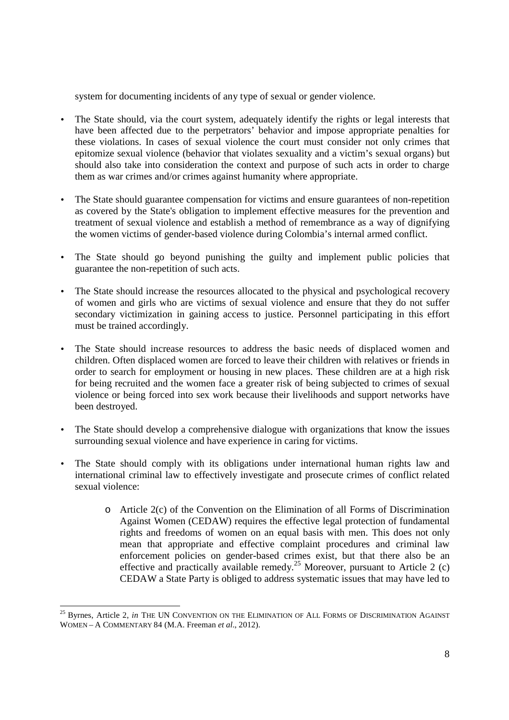system for documenting incidents of any type of sexual or gender violence.

- The State should, via the court system, adequately identify the rights or legal interests that have been affected due to the perpetrators' behavior and impose appropriate penalties for these violations. In cases of sexual violence the court must consider not only crimes that epitomize sexual violence (behavior that violates sexuality and a victim's sexual organs) but should also take into consideration the context and purpose of such acts in order to charge them as war crimes and/or crimes against humanity where appropriate.
- The State should guarantee compensation for victims and ensure guarantees of non-repetition as covered by the State's obligation to implement effective measures for the prevention and treatment of sexual violence and establish a method of remembrance as a way of dignifying the women victims of gender-based violence during Colombia's internal armed conflict.
- The State should go beyond punishing the guilty and implement public policies that guarantee the non-repetition of such acts.
- The State should increase the resources allocated to the physical and psychological recovery of women and girls who are victims of sexual violence and ensure that they do not suffer secondary victimization in gaining access to justice. Personnel participating in this effort must be trained accordingly.
- The State should increase resources to address the basic needs of displaced women and children. Often displaced women are forced to leave their children with relatives or friends in order to search for employment or housing in new places. These children are at a high risk for being recruited and the women face a greater risk of being subjected to crimes of sexual violence or being forced into sex work because their livelihoods and support networks have been destroyed.
- The State should develop a comprehensive dialogue with organizations that know the issues surrounding sexual violence and have experience in caring for victims.
- The State should comply with its obligations under international human rights law and international criminal law to effectively investigate and prosecute crimes of conflict related sexual violence:
	- o Article 2(c) of the Convention on the Elimination of all Forms of Discrimination Against Women (CEDAW) requires the effective legal protection of fundamental rights and freedoms of women on an equal basis with men. This does not only mean that appropriate and effective complaint procedures and criminal law enforcement policies on gender-based crimes exist, but that there also be an effective and practically available remedy.<sup>25</sup> Moreover, pursuant to Article 2 (c) CEDAW a State Party is obliged to address systematic issues that may have led to

<sup>&</sup>lt;sup>25</sup> Byrnes, Article 2, *in* THE UN CONVENTION ON THE ELIMINATION OF ALL FORMS OF DISCRIMINATION AGAINST WOMEN – A COMMENTARY 84 (M.A. Freeman *et al*., 2012).